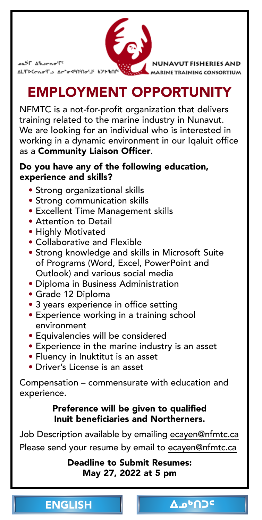<span id="page-0-0"></span>

es)⊏ ∆&ے<del>c</del>مو'ا ALSERGER TO Acted SOCIETY NOW BOY

NUNAVUT FISHERIES AND MARINE TRAINING CONSORTIUM

## [EMPLOYMENT OPPORTUNITY](mailto:ecayen@nfmtc.ca)

NFMTC is a not-for-profit organization that delivers training related to the marine industry in Nunavut. We are looking for an individual who is interested in working in a dynamic environment in our Iqaluit office as a Community Liaison Officer.

#### Do you have any of the following education, experience and skills?

- Strong organizational skills
- Strong communication skills
- Excellent Time Management skills
- Attention to Detail
- Highly Motivated
- Collaborative and Flexible
- Strong knowledge and s[kills in Microsoft Suite](#page-1-0) of Programs (Word, Excel, PowerPoint and Outlook) and various social media
- Diploma in Business Administration
- Grade 12 Diploma
- 3 years experience in office setting
- Experience working in a training school environment
- Equivalencies will be considered
- Experience in the marine industry is an asset
- Fluency in Inuktitut is an asset
- Driver's License is an asset

Compensation – commensurate with education and experience.

#### Preference will be given to qualified Inuit beneficiaries and Northerners.

Job Description available by emailing ecayen@nfmtc.ca Please send your resume by email to ecayen@nfmtc.ca

> Deadline to Submit Resumes: May 27, 2022 at 5 pm

> > <sup>Δ</sup>Δ<sup>ο</sup>Ω⊃⊂

| <b>ENGLISH</b> |  |  |
|----------------|--|--|
|                |  |  |
|                |  |  |